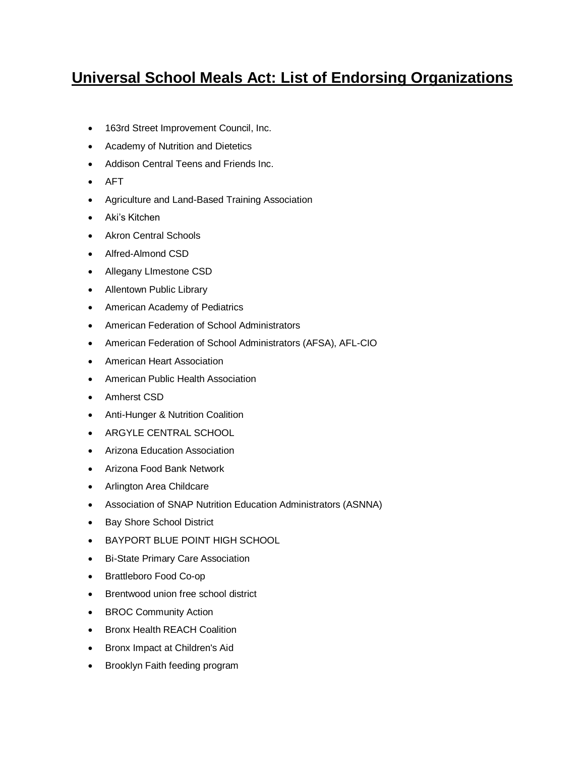## **Universal School Meals Act: List of Endorsing Organizations**

- 163rd Street Improvement Council, Inc.
- Academy of Nutrition and Dietetics
- Addison Central Teens and Friends Inc.
- AFT
- Agriculture and Land-Based Training Association
- Aki's Kitchen
- Akron Central Schools
- Alfred-Almond CSD
- Allegany LImestone CSD
- Allentown Public Library
- American Academy of Pediatrics
- American Federation of School Administrators
- American Federation of School Administrators (AFSA), AFL-CIO
- American Heart Association
- American Public Health Association
- Amherst CSD
- Anti-Hunger & Nutrition Coalition
- ARGYLE CENTRAL SCHOOL
- Arizona Education Association
- Arizona Food Bank Network
- Arlington Area Childcare
- Association of SNAP Nutrition Education Administrators (ASNNA)
- Bay Shore School District
- BAYPORT BLUE POINT HIGH SCHOOL
- Bi-State Primary Care Association
- Brattleboro Food Co-op
- Brentwood union free school district
- BROC Community Action
- Bronx Health REACH Coalition
- Bronx Impact at Children's Aid
- Brooklyn Faith feeding program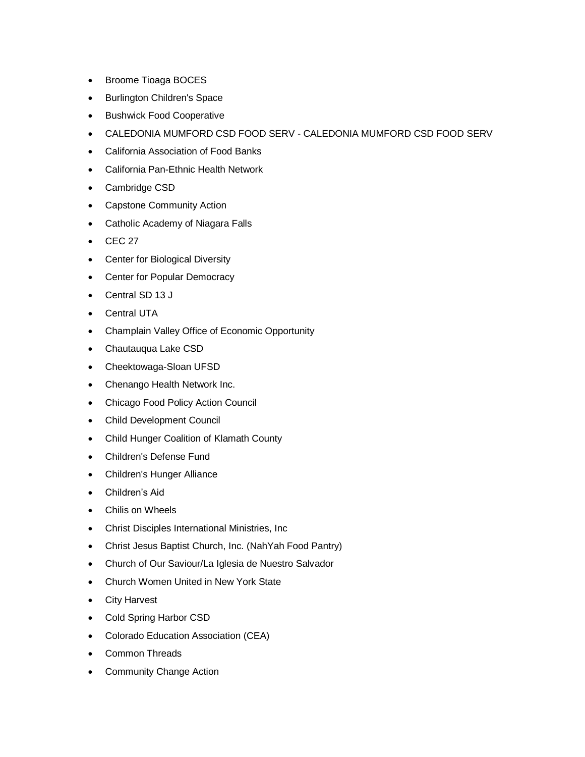- Broome Tioaga BOCES
- Burlington Children's Space
- **•** Bushwick Food Cooperative
- CALEDONIA MUMFORD CSD FOOD SERV CALEDONIA MUMFORD CSD FOOD SERV
- California Association of Food Banks
- California Pan-Ethnic Health Network
- Cambridge CSD
- Capstone Community Action
- Catholic Academy of Niagara Falls
- $\bullet$  CEC 27
- Center for Biological Diversity
- Center for Popular Democracy
- Central SD 13 J
- Central UTA
- Champlain Valley Office of Economic Opportunity
- Chautauqua Lake CSD
- Cheektowaga-Sloan UFSD
- Chenango Health Network Inc.
- Chicago Food Policy Action Council
- Child Development Council
- Child Hunger Coalition of Klamath County
- Children's Defense Fund
- Children's Hunger Alliance
- Children's Aid
- Chilis on Wheels
- Christ Disciples International Ministries, Inc
- Christ Jesus Baptist Church, Inc. (NahYah Food Pantry)
- Church of Our Saviour/La Iglesia de Nuestro Salvador
- Church Women United in New York State
- City Harvest
- Cold Spring Harbor CSD
- Colorado Education Association (CEA)
- Common Threads
- Community Change Action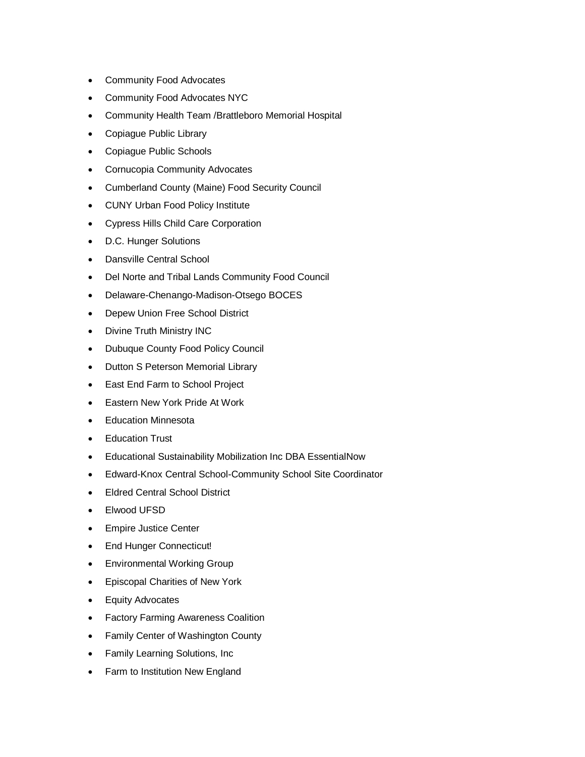- Community Food Advocates
- Community Food Advocates NYC
- Community Health Team /Brattleboro Memorial Hospital
- Copiague Public Library
- Copiague Public Schools
- Cornucopia Community Advocates
- Cumberland County (Maine) Food Security Council
- CUNY Urban Food Policy Institute
- Cypress Hills Child Care Corporation
- D.C. Hunger Solutions
- Dansville Central School
- Del Norte and Tribal Lands Community Food Council
- Delaware-Chenango-Madison-Otsego BOCES
- Depew Union Free School District
- Divine Truth Ministry INC
- Dubuque County Food Policy Council
- Dutton S Peterson Memorial Library
- East End Farm to School Project
- Eastern New York Pride At Work
- Education Minnesota
- **•** Education Trust
- Educational Sustainability Mobilization Inc DBA EssentialNow
- Edward-Knox Central School-Community School Site Coordinator
- Eldred Central School District
- Elwood UFSD
- **•** Empire Justice Center
- End Hunger Connecticut!
- Environmental Working Group
- Episcopal Charities of New York
- Equity Advocates
- Factory Farming Awareness Coalition
- Family Center of Washington County
- Family Learning Solutions, Inc
- Farm to Institution New England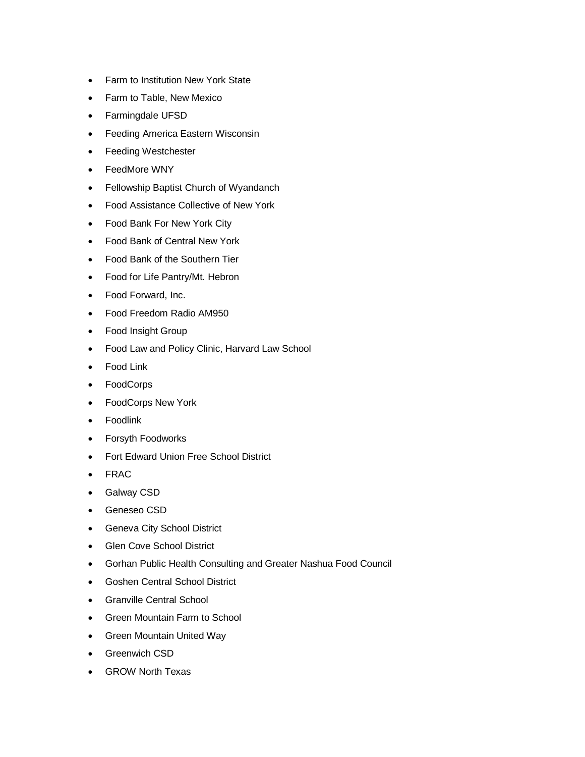- Farm to Institution New York State
- Farm to Table, New Mexico
- Farmingdale UFSD
- Feeding America Eastern Wisconsin
- Feeding Westchester
- FeedMore WNY
- Fellowship Baptist Church of Wyandanch
- Food Assistance Collective of New York
- Food Bank For New York City
- Food Bank of Central New York
- Food Bank of the Southern Tier
- Food for Life Pantry/Mt. Hebron
- Food Forward, Inc.
- Food Freedom Radio AM950
- Food Insight Group
- Food Law and Policy Clinic, Harvard Law School
- Food Link
- FoodCorps
- FoodCorps New York
- Foodlink
- Forsyth Foodworks
- Fort Edward Union Free School District
- FRAC
- Galway CSD
- Geneseo CSD
- Geneva City School District
- Glen Cove School District
- Gorhan Public Health Consulting and Greater Nashua Food Council
- Goshen Central School District
- Granville Central School
- Green Mountain Farm to School
- Green Mountain United Way
- **•** Greenwich CSD
- GROW North Texas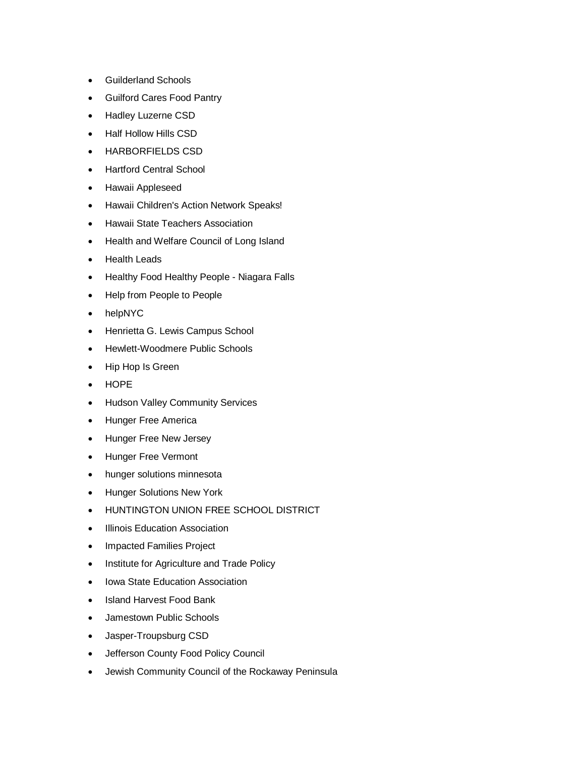- Guilderland Schools
- Guilford Cares Food Pantry
- Hadley Luzerne CSD
- Half Hollow Hills CSD
- HARBORFIELDS CSD
- Hartford Central School
- **•** Hawaii Appleseed
- Hawaii Children's Action Network Speaks!
- Hawaii State Teachers Association
- Health and Welfare Council of Long Island
- Health Leads
- Healthy Food Healthy People Niagara Falls
- Help from People to People
- helpNYC
- Henrietta G. Lewis Campus School
- Hewlett-Woodmere Public Schools
- Hip Hop Is Green
- HOPE
- Hudson Valley Community Services
- Hunger Free America
- Hunger Free New Jersey
- Hunger Free Vermont
- hunger solutions minnesota
- **•** Hunger Solutions New York
- **HUNTINGTON UNION FREE SCHOOL DISTRICT**
- Illinois Education Association
- Impacted Families Project
- Institute for Agriculture and Trade Policy
- Iowa State Education Association
- Island Harvest Food Bank
- Jamestown Public Schools
- Jasper-Troupsburg CSD
- Jefferson County Food Policy Council
- Jewish Community Council of the Rockaway Peninsula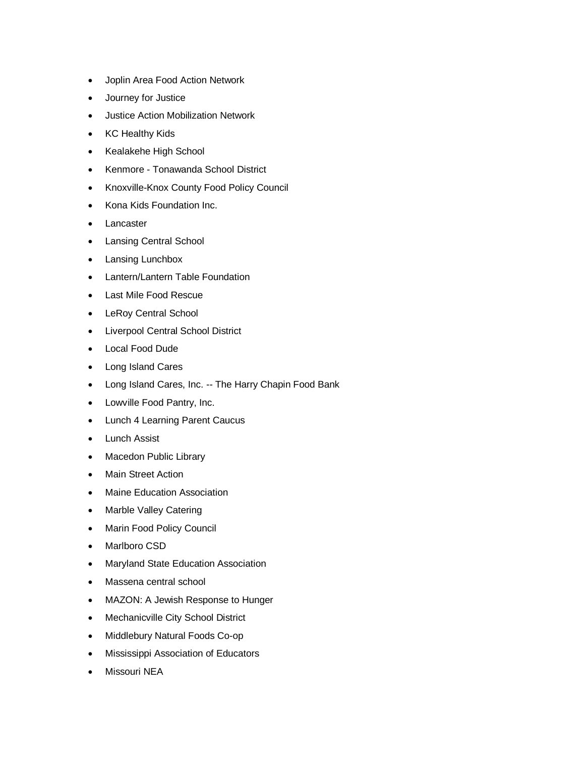- Joplin Area Food Action Network
- Journey for Justice
- Justice Action Mobilization Network
- KC Healthy Kids
- Kealakehe High School
- Kenmore Tonawanda School District
- Knoxville-Knox County Food Policy Council
- Kona Kids Foundation Inc.
- Lancaster
- Lansing Central School
- Lansing Lunchbox
- Lantern/Lantern Table Foundation
- Last Mile Food Rescue
- LeRoy Central School
- Liverpool Central School District
- Local Food Dude
- Long Island Cares
- Long Island Cares, Inc. -- The Harry Chapin Food Bank
- Lowville Food Pantry, Inc.
- Lunch 4 Learning Parent Caucus
- Lunch Assist
- Macedon Public Library
- Main Street Action
- Maine Education Association
- Marble Valley Catering
- Marin Food Policy Council
- Marlboro CSD
- Maryland State Education Association
- Massena central school
- MAZON: A Jewish Response to Hunger
- Mechanicville City School District
- Middlebury Natural Foods Co-op
- Mississippi Association of Educators
- Missouri NEA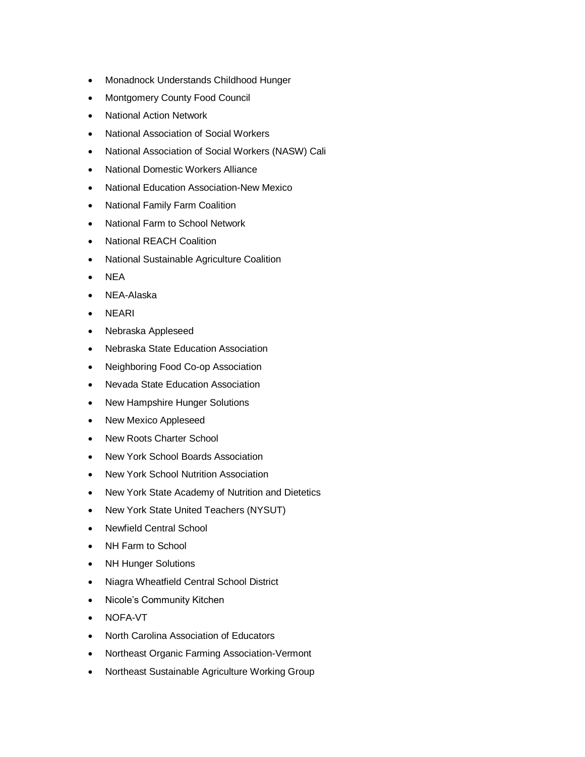- Monadnock Understands Childhood Hunger
- Montgomery County Food Council
- National Action Network
- National Association of Social Workers
- National Association of Social Workers (NASW) Cali
- National Domestic Workers Alliance
- National Education Association-New Mexico
- National Family Farm Coalition
- National Farm to School Network
- National REACH Coalition
- National Sustainable Agriculture Coalition
- NEA
- NEA-Alaska
- NEARI
- Nebraska Appleseed
- Nebraska State Education Association
- Neighboring Food Co-op Association
- Nevada State Education Association
- New Hampshire Hunger Solutions
- New Mexico Appleseed
- New Roots Charter School
- New York School Boards Association
- New York School Nutrition Association
- New York State Academy of Nutrition and Dietetics
- New York State United Teachers (NYSUT)
- Newfield Central School
- NH Farm to School
- NH Hunger Solutions
- Niagra Wheatfield Central School District
- Nicole's Community Kitchen
- NOFA-VT
- North Carolina Association of Educators
- Northeast Organic Farming Association-Vermont
- Northeast Sustainable Agriculture Working Group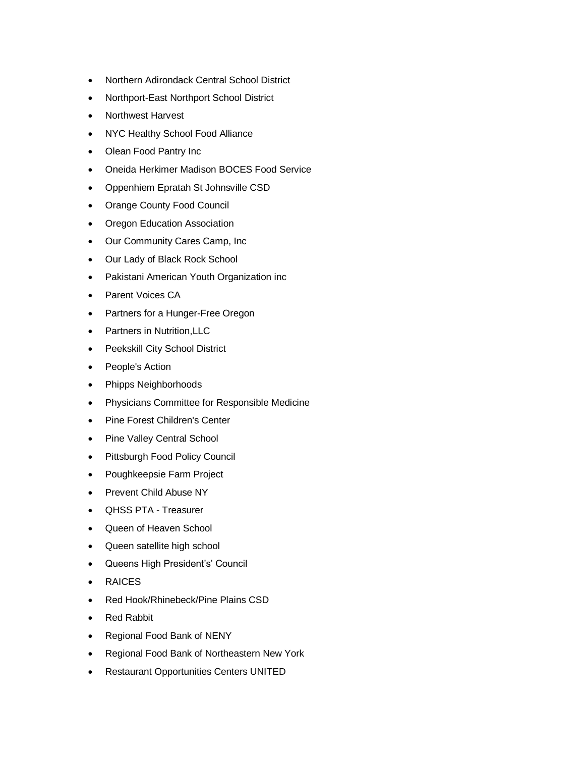- Northern Adirondack Central School District
- Northport-East Northport School District
- Northwest Harvest
- NYC Healthy School Food Alliance
- Olean Food Pantry Inc
- Oneida Herkimer Madison BOCES Food Service
- Oppenhiem Epratah St Johnsville CSD
- Orange County Food Council
- Oregon Education Association
- Our Community Cares Camp, Inc
- Our Lady of Black Rock School
- Pakistani American Youth Organization inc
- Parent Voices CA
- Partners for a Hunger-Free Oregon
- Partners in Nutrition, LLC
- Peekskill City School District
- People's Action
- Phipps Neighborhoods
- Physicians Committee for Responsible Medicine
- Pine Forest Children's Center
- Pine Valley Central School
- Pittsburgh Food Policy Council
- Poughkeepsie Farm Project
- Prevent Child Abuse NY
- QHSS PTA Treasurer
- Queen of Heaven School
- Queen satellite high school
- Queens High President's' Council
- RAICES
- Red Hook/Rhinebeck/Pine Plains CSD
- Red Rabbit
- Regional Food Bank of NENY
- Regional Food Bank of Northeastern New York
- Restaurant Opportunities Centers UNITED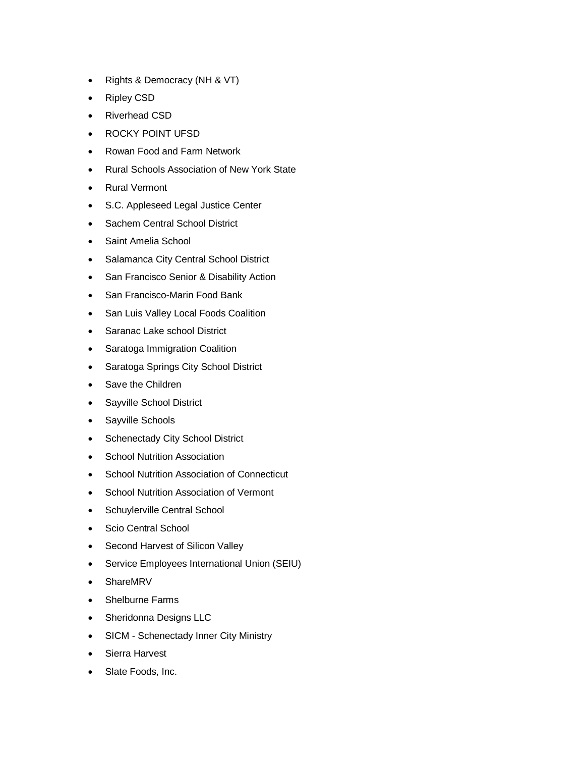- Rights & Democracy (NH & VT)
- Ripley CSD
- Riverhead CSD
- ROCKY POINT UFSD
- Rowan Food and Farm Network
- Rural Schools Association of New York State
- Rural Vermont
- S.C. Appleseed Legal Justice Center
- Sachem Central School District
- Saint Amelia School
- Salamanca City Central School District
- San Francisco Senior & Disability Action
- San Francisco-Marin Food Bank
- San Luis Valley Local Foods Coalition
- Saranac Lake school District
- Saratoga Immigration Coalition
- Saratoga Springs City School District
- Save the Children
- Sayville School District
- Sayville Schools
- Schenectady City School District
- School Nutrition Association
- School Nutrition Association of Connecticut
- School Nutrition Association of Vermont
- Schuylerville Central School
- Scio Central School
- Second Harvest of Silicon Valley
- Service Employees International Union (SEIU)
- ShareMRV
- Shelburne Farms
- Sheridonna Designs LLC
- SICM Schenectady Inner City Ministry
- Sierra Harvest
- Slate Foods, Inc.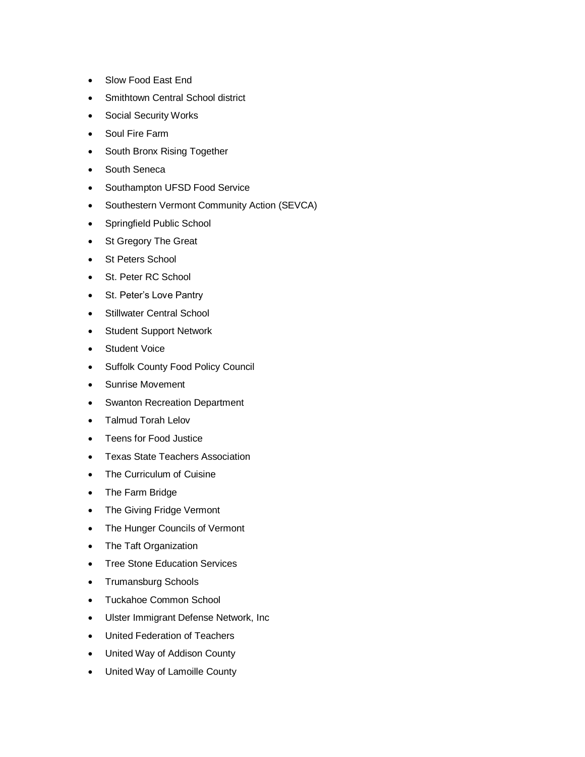- Slow Food East End
- Smithtown Central School district
- Social Security Works
- Soul Fire Farm
- South Bronx Rising Together
- South Seneca
- Southampton UFSD Food Service
- Southestern Vermont Community Action (SEVCA)
- Springfield Public School
- St Gregory The Great
- St Peters School
- St. Peter RC School
- St. Peter's Love Pantry
- Stillwater Central School
- Student Support Network
- Student Voice
- Suffolk County Food Policy Council
- Sunrise Movement
- Swanton Recreation Department
- Talmud Torah Lelov
- Teens for Food Justice
- Texas State Teachers Association
- The Curriculum of Cuisine
- The Farm Bridge
- The Giving Fridge Vermont
- The Hunger Councils of Vermont
- The Taft Organization
- Tree Stone Education Services
- Trumansburg Schools
- Tuckahoe Common School
- Ulster Immigrant Defense Network, Inc
- United Federation of Teachers
- United Way of Addison County
- United Way of Lamoille County